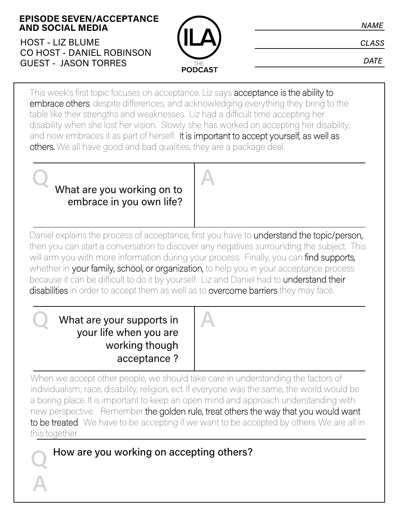**EPISODE SEVEN/ACCEPTANCE AND SOCIAL MEDIA**

HOST - LIZ BLUME CO HOST - DANIEL ROBINSON GUEST - JASON TORRES



**CLASS** 

**DATE** 

This week's first topic focuses on acceptance. Liz says acceptance is the ability to embrace others, despite differences, and acknowledging everything they bring to the table like their strengths and weaknesses. Liz had a difficult time accepting her disability when she lost her vision. Slowly she has worked on accepting her disability, and now embraces it as part of herself. It is important to accept yourself, as well as others. We all have good and bad qualities, they are a package deal.

What are you working on to embrace in you own life?  $\Omega$  What are very working on to

Daniel explains the process of acceptance, first you have to understand the topic/person, then you can start a conversation to discover any negatives surrounding the subject. This will arm you with more information during your process. Finally, you can find supports, whether in your family, school, or organization, to help you in your acceptance process because it can be difficult to do it by yourself. Liz and Daniel had to understand their disabilities in order to accept them as well as to overcome barriers they may face.

What are your supports in What are your supports in your life when you are working though acceptance ?

Q

A

When we accept other people, we should take care in understanding the factors of individualism; race, disability, religion, ect. If everyone was the same, the world would be a boring place. It is important to keep an open mind and approach understanding with new perspective. Remember the golden rule, treat others the way that you would want to be treated. We have to be accepting if we want to be accepted by others. We are all in this together.

How are you working on accepting others?